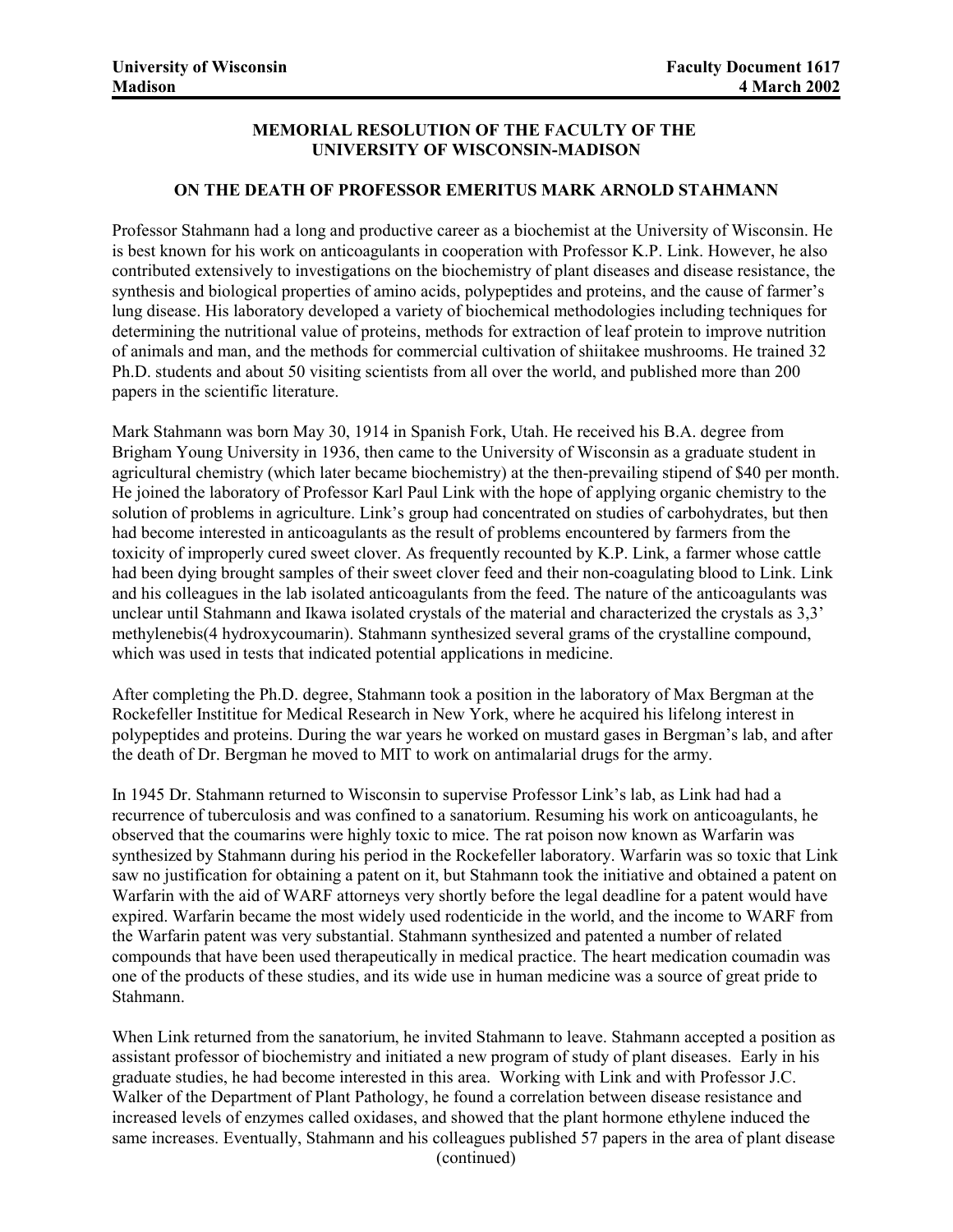## **MEMORIAL RESOLUTION OF THE FACULTY OF THE UNIVERSITY OF WISCONSIN-MADISON**

## **ON THE DEATH OF PROFESSOR EMERITUS MARK ARNOLD STAHMANN**

Professor Stahmann had a long and productive career as a biochemist at the University of Wisconsin. He is best known for his work on anticoagulants in cooperation with Professor K.P. Link. However, he also contributed extensively to investigations on the biochemistry of plant diseases and disease resistance, the synthesis and biological properties of amino acids, polypeptides and proteins, and the cause of farmer's lung disease. His laboratory developed a variety of biochemical methodologies including techniques for determining the nutritional value of proteins, methods for extraction of leaf protein to improve nutrition of animals and man, and the methods for commercial cultivation of shiitakee mushrooms. He trained 32 Ph.D. students and about 50 visiting scientists from all over the world, and published more than 200 papers in the scientific literature.

Mark Stahmann was born May 30, 1914 in Spanish Fork, Utah. He received his B.A. degree from Brigham Young University in 1936, then came to the University of Wisconsin as a graduate student in agricultural chemistry (which later became biochemistry) at the then-prevailing stipend of \$40 per month. He joined the laboratory of Professor Karl Paul Link with the hope of applying organic chemistry to the solution of problems in agriculture. Link's group had concentrated on studies of carbohydrates, but then had become interested in anticoagulants as the result of problems encountered by farmers from the toxicity of improperly cured sweet clover. As frequently recounted by K.P. Link, a farmer whose cattle had been dying brought samples of their sweet clover feed and their non-coagulating blood to Link. Link and his colleagues in the lab isolated anticoagulants from the feed. The nature of the anticoagulants was unclear until Stahmann and Ikawa isolated crystals of the material and characterized the crystals as 3,3' methylenebis(4 hydroxycoumarin). Stahmann synthesized several grams of the crystalline compound, which was used in tests that indicated potential applications in medicine.

After completing the Ph.D. degree, Stahmann took a position in the laboratory of Max Bergman at the Rockefeller Instititue for Medical Research in New York, where he acquired his lifelong interest in polypeptides and proteins. During the war years he worked on mustard gases in Bergman's lab, and after the death of Dr. Bergman he moved to MIT to work on antimalarial drugs for the army.

In 1945 Dr. Stahmann returned to Wisconsin to supervise Professor Link's lab, as Link had had a recurrence of tuberculosis and was confined to a sanatorium. Resuming his work on anticoagulants, he observed that the coumarins were highly toxic to mice. The rat poison now known as Warfarin was synthesized by Stahmann during his period in the Rockefeller laboratory. Warfarin was so toxic that Link saw no justification for obtaining a patent on it, but Stahmann took the initiative and obtained a patent on Warfarin with the aid of WARF attorneys very shortly before the legal deadline for a patent would have expired. Warfarin became the most widely used rodenticide in the world, and the income to WARF from the Warfarin patent was very substantial. Stahmann synthesized and patented a number of related compounds that have been used therapeutically in medical practice. The heart medication coumadin was one of the products of these studies, and its wide use in human medicine was a source of great pride to Stahmann.

When Link returned from the sanatorium, he invited Stahmann to leave. Stahmann accepted a position as assistant professor of biochemistry and initiated a new program of study of plant diseases. Early in his graduate studies, he had become interested in this area. Working with Link and with Professor J.C. Walker of the Department of Plant Pathology, he found a correlation between disease resistance and increased levels of enzymes called oxidases, and showed that the plant hormone ethylene induced the same increases. Eventually, Stahmann and his colleagues published 57 papers in the area of plant disease (continued)